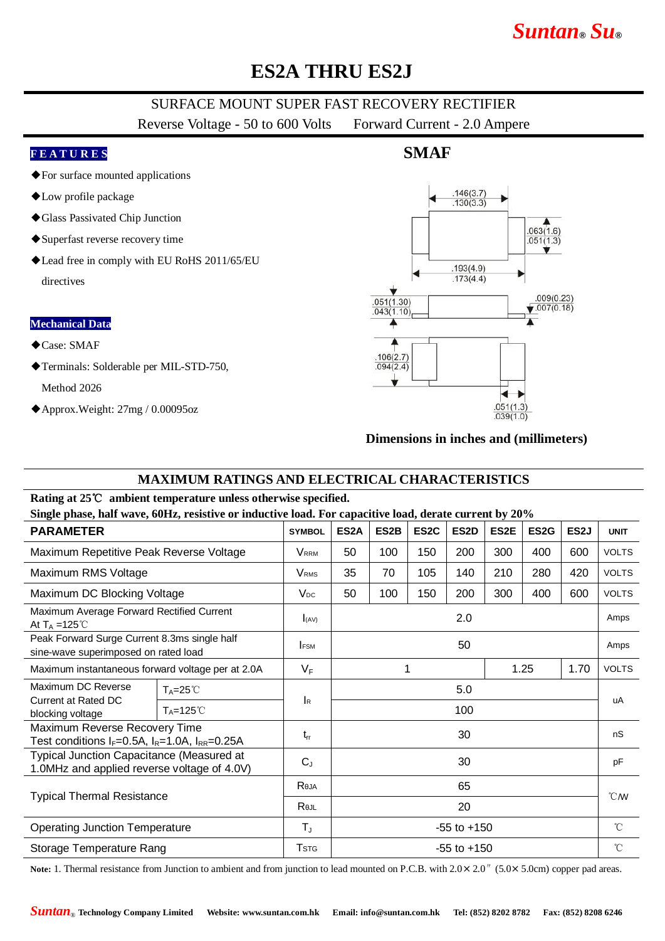# *Suntan***®** *Su***®**

# **ES2A THRU ES2J**

### SURFACE MOUNT SUPER FAST RECOVERY RECTIFIER

Reverse Voltage - 50 to 600 Volts Forward Current - 2.0 Ampere

#### **F E A T U R E S**

- ◆For surface mounted applications
- ◆Low profile package
- ◆Glass Passivated Chip Junction
- ◆Superfast reverse recovery time
- ◆Lead free in comply with EU RoHS 2011/65/EU directives

#### **Mechanical Data**

- ◆Case: SMAF
- ◆Terminals: Solderable per MIL-STD-750, Method 2026
- ◆Approx.Weight: 27mg / 0.00095oz

## **SMAF**



### **Dimensions in inches and (millimeters)**

### **MAXIMUM RATINGS AND ELECTRICAL CHARACTERISTICS**

#### **Rating at 25**℃ **ambient temperature unless otherwise specified.**

**Single phase, half wave, 60Hz, resistive or inductive load. For capacitive load, derate current by 20%**

| Dingic phase, nan wave, oving resistive or muuctive ioau. For capacitive ioau, ucrate current by 2070<br><b>PARAMETER</b> |                     | <b>SYMBOL</b>             | ES <sub>2</sub> A | ES2B | ES <sub>2</sub> C | ES2D | ES2E | ES <sub>2</sub> G | ES <sub>2</sub> J | <b>UNIT</b>  |
|---------------------------------------------------------------------------------------------------------------------------|---------------------|---------------------------|-------------------|------|-------------------|------|------|-------------------|-------------------|--------------|
| Maximum Repetitive Peak Reverse Voltage                                                                                   |                     | <b>VRRM</b>               | 50                | 100  | 150               | 200  | 300  | 400               | 600               | <b>VOLTS</b> |
| Maximum RMS Voltage                                                                                                       |                     | V <sub>RMS</sub>          | 35                | 70   | 105               | 140  | 210  | 280               | 420               | <b>VOLTS</b> |
| Maximum DC Blocking Voltage                                                                                               |                     | $V_{DC}$                  | 50                | 100  | 150               | 200  | 300  | 400               | 600               | <b>VOLTS</b> |
| Maximum Average Forward Rectified Current<br>At $T_A = 125^{\circ}$ C                                                     |                     | (xA)                      | 2.0               |      |                   |      |      |                   |                   | Amps         |
| Peak Forward Surge Current 8.3ms single half<br>sine-wave superimposed on rated load                                      |                     | <b>IFSM</b>               | 50                |      |                   |      |      |                   |                   | Amps         |
| Maximum instantaneous forward voltage per at 2.0A                                                                         |                     | $V_F$                     | 1                 |      |                   |      | 1.25 | 1.70              | <b>VOLTS</b>      |              |
| Maximum DC Reverse<br>Current at Rated DC<br>blocking voltage                                                             | $T_A = 25^{\circ}$  | $\mathsf{I}_{\mathsf{R}}$ | 5.0               |      |                   |      |      |                   |                   | uA           |
|                                                                                                                           | $T_A = 125^{\circ}$ |                           | 100               |      |                   |      |      |                   |                   |              |
| Maximum Reverse Recovery Time<br>Test conditions $I_F=0.5A$ , $I_R=1.0A$ , $I_{RR}=0.25A$                                 |                     | $t_{rr}$                  | 30                |      |                   |      |      |                   |                   | nS           |
| <b>Typical Junction Capacitance (Measured at</b><br>1.0MHz and applied reverse voltage of 4.0V)                           |                     | $C_{J}$                   | 30                |      |                   |      |      |                   |                   | pF           |
| <b>Typical Thermal Resistance</b>                                                                                         |                     | Reja                      | 65                |      |                   |      |      |                   | $^{\circ}$ CMV    |              |
|                                                                                                                           |                     | Rejl                      | 20                |      |                   |      |      |                   |                   |              |
| <b>Operating Junction Temperature</b>                                                                                     |                     | $T_{\rm J}$               | $-55$ to $+150$   |      |                   |      |      |                   |                   | $^{\circ}$ C |
| Storage Temperature Rang                                                                                                  |                     | <b>T</b> <sub>STG</sub>   | $-55$ to $+150$   |      |                   |      |      |                   |                   | $^{\circ}C$  |

Note: 1. Thermal resistance from Junction to ambient and from junction to lead mounted on P.C.B. with  $2.0 \times 2.0$ <sup>"</sup> (5.0×5.0cm) copper pad areas.